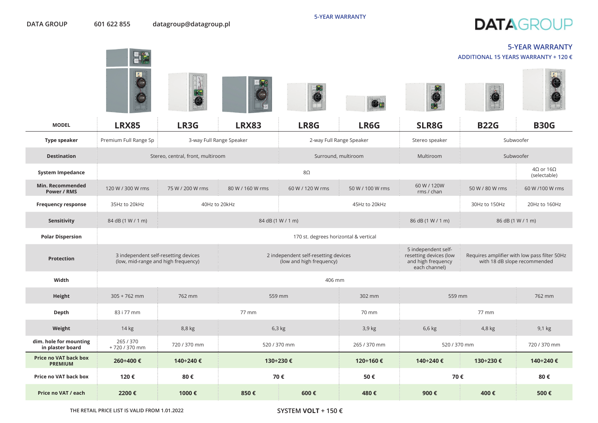**ADDITIONAL 15 YEARS WARRANTY + 120 €**

**5-YEAR WARRANTY**

 $\begin{array}{|c|c|c|}\hline \textbf{e} & \textbf{e} \end{array}$ 

|                                            | $\sim$ $\sim$<br>團<br>(IR) SE                                               |                                   |                   |                                                                  | $c$                      |                                                                                      |                              |                                              |
|--------------------------------------------|-----------------------------------------------------------------------------|-----------------------------------|-------------------|------------------------------------------------------------------|--------------------------|--------------------------------------------------------------------------------------|------------------------------|----------------------------------------------|
| <b>MODEL</b>                               | <b>LRX85</b>                                                                | LR3G                              | <b>LRX83</b>      | LR8G                                                             | LR6G                     | SLR8G                                                                                | <b>B22G</b>                  | <b>B30G</b>                                  |
| <b>Type speaker</b>                        | Premium Full Range Sp                                                       | 3-way Full Range Speaker          |                   |                                                                  | 2-way Full Range Speaker | Stereo speaker                                                                       | Subwoofer                    |                                              |
| <b>Destination</b>                         |                                                                             | Stereo, central, front, multiroom |                   |                                                                  | Surround, multiroom      | <b>Multiroom</b>                                                                     | Subwoofer                    |                                              |
| <b>System Impedance</b>                    |                                                                             |                                   |                   | $8\Omega$                                                        |                          |                                                                                      |                              | $4\Omega$ or $16\Omega$<br>(selectable)      |
| Min. Recommended<br>Power / RMS            | 120 W / 300 W rms                                                           | 75 W / 200 W rms                  | 80 W / 160 W rms  | 60 W / 120 W rms                                                 | 50 W / 100 W rms         | 60 W / 120W<br>rms / chan                                                            | 50 W / 80 W rms              | 60 W /100 W rms                              |
| <b>Frequency response</b>                  | 35Hz to 20kHz                                                               | 40Hz to 20kHz                     |                   |                                                                  | 45Hz to 20kHz            |                                                                                      | 30Hz to 150Hz                | 20Hz to 160Hz                                |
| Sensitivity                                | 84 dB (1 W / 1 m)                                                           |                                   | 84 dB (1 W / 1 m) |                                                                  |                          | 86 dB (1 W / 1 m)                                                                    | 86 dB (1 W / 1 m)            |                                              |
| <b>Polar Dispersion</b>                    |                                                                             |                                   |                   | 170 st. degrees horizontal & vertical                            |                          |                                                                                      |                              |                                              |
| <b>Protection</b>                          | 3 independent self-resetting devices<br>(low, mid-range and high frequency) |                                   |                   | 2 independent self-resetting devices<br>(low and high frequency) |                          | 5 independent self-<br>resetting devices (low<br>and high frequency<br>each channel) | with 18 dB slope recommended | Requires amplifier with low pass filter 50Hz |
| Width                                      |                                                                             |                                   |                   | 406 mm                                                           |                          |                                                                                      |                              |                                              |
| Height                                     | $305 + 762$ mm                                                              | 762 mm                            | 559 mm            |                                                                  | 302 mm                   | 559 mm                                                                               |                              | 762 mm                                       |
| Depth                                      | 83 i 77 mm                                                                  |                                   | 77 mm             |                                                                  | 70 mm                    |                                                                                      | 77 mm                        |                                              |
| Weight                                     | 14 kg                                                                       | 8,8 kg                            | $6,3$ kg          |                                                                  | 3,9 kg                   | 6,6 kg                                                                               | 4,8 kg                       | 9,1 kg                                       |
| dim. hole for mounting<br>in plaster board | 265 / 370<br>+720 / 370 mm                                                  | 720 / 370 mm                      | 520 / 370 mm      |                                                                  | 265 / 370 mm             | 520 / 370 mm                                                                         |                              | 720 / 370 mm                                 |
| Price no VAT back box<br><b>PREMIUM</b>    | 260÷400 €                                                                   | 140÷240€                          | 130÷230€          |                                                                  | 120÷160 €                | 140÷240€                                                                             | 130÷230 €                    | 140÷240 €                                    |
| Price no VAT back box                      | 120€                                                                        | 80€                               | 70€               |                                                                  | 50€                      | 70€                                                                                  |                              | 80€                                          |
| Price no VAT / each                        | 2200€                                                                       | 1000€                             | 850€              | 600€                                                             | 480€                     | 900€                                                                                 | 400€                         | 500€                                         |

**SYSTEM** VOLT **+ 150 €**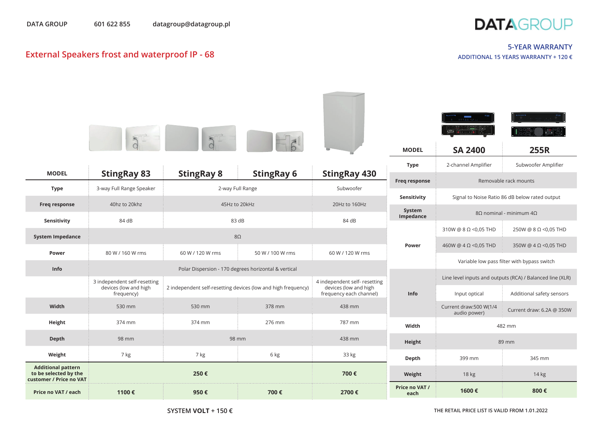

## **External Speakers frost and waterproof** IP - 68

## **5-YEAR WARRANTY ADDITIONAL 15 YEARS WARRANTY + 120 €**

|                                                                               |                                                       |                                                      |                                                               |                                                        | <b>MODEL</b>           | $\begin{array}{ c c c c c }\hline \multicolumn{1}{ c }{0:} & \multicolumn{1}{ c }{0:} & \multicolumn{1}{ c }{0:} & \multicolumn{1}{ c }{0:} & \multicolumn{1}{ c }{0:} & \multicolumn{1}{ c }{0:} & \multicolumn{1}{ c }{0:} & \multicolumn{1}{ c }{0:} & \multicolumn{1}{ c }{0:} & \multicolumn{1}{ c }{0:} & \multicolumn{1}{ c }{0:} & \multicolumn{1}{ c }{0:} & \multicolumn{1}{ c }{0:} & \multicolumn{1$<br><b>SA 2400</b> | <b>255R</b>                                               |  |
|-------------------------------------------------------------------------------|-------------------------------------------------------|------------------------------------------------------|---------------------------------------------------------------|--------------------------------------------------------|------------------------|------------------------------------------------------------------------------------------------------------------------------------------------------------------------------------------------------------------------------------------------------------------------------------------------------------------------------------------------------------------------------------------------------------------------------------|-----------------------------------------------------------|--|
| <b>MODEL</b>                                                                  | <b>StingRay 83</b>                                    | <b>StingRay 8</b>                                    | <b>StingRay 6</b>                                             | <b>StingRay 430</b>                                    | <b>Type</b>            | 2-channel Amplifier                                                                                                                                                                                                                                                                                                                                                                                                                | Subwoofer Amplifier                                       |  |
| <b>Type</b>                                                                   | 3-way Full Range Speaker                              |                                                      | 2-way Full Range                                              | Subwoofer                                              | <b>Freq response</b>   |                                                                                                                                                                                                                                                                                                                                                                                                                                    | Removable rack mounts                                     |  |
|                                                                               |                                                       |                                                      |                                                               |                                                        | Sensitivity            | Signal to Noise Ratio 86 dB below rated output                                                                                                                                                                                                                                                                                                                                                                                     |                                                           |  |
| Freq response                                                                 | 40hz to 20khz                                         | 45Hz to 20kHz                                        |                                                               | 20Hz to 160Hz                                          | System<br>Impedance    | $8Ω$ nominal - minimum $4Ω$                                                                                                                                                                                                                                                                                                                                                                                                        |                                                           |  |
| Sensitivity                                                                   | 84 dB                                                 |                                                      | 83 dB                                                         | 84 dB                                                  |                        | 310W @ $8 \Omega$ <0,05 THD                                                                                                                                                                                                                                                                                                                                                                                                        | 250W @ 8 Ω < 0,05 THD                                     |  |
| <b>System Impedance</b>                                                       |                                                       |                                                      | $8\Omega$                                                     |                                                        | Power                  | 460W @ $4 \Omega$ <0,05 THD                                                                                                                                                                                                                                                                                                                                                                                                        | 350W @ $4 \Omega$ <0,05 THD                               |  |
| Power                                                                         | 80 W / 160 W rms                                      | 60 W / 120 W rms                                     | 50 W / 100 W rms                                              | 60 W / 120 W rms                                       |                        |                                                                                                                                                                                                                                                                                                                                                                                                                                    |                                                           |  |
| Info                                                                          |                                                       | Polar Dispersion - 170 degrees horizontal & vertical |                                                               |                                                        |                        | Variable low pass filter with bypass switch                                                                                                                                                                                                                                                                                                                                                                                        |                                                           |  |
|                                                                               | 3 independent self-resetting<br>devices (low and high |                                                      | 2 independent self-resetting devices (low and high frequency) | 4 independent self- resetting<br>devices (low and high |                        |                                                                                                                                                                                                                                                                                                                                                                                                                                    | Line level inputs and outputs (RCA) / Balanced line (XLR) |  |
|                                                                               | frequency)                                            |                                                      |                                                               | frequency each channel)                                | Info                   | Input optical                                                                                                                                                                                                                                                                                                                                                                                                                      | Additional safety sensors                                 |  |
| Width                                                                         | 530 mm                                                | 530 mm                                               | 378 mm                                                        | 438 mm                                                 |                        | Current draw:500 W(1/4<br>audio power)                                                                                                                                                                                                                                                                                                                                                                                             | Current draw: 6.2A @ 350W                                 |  |
| Height                                                                        | 374 mm                                                | 374 mm                                               | 276 mm                                                        | 787 mm                                                 | Width                  |                                                                                                                                                                                                                                                                                                                                                                                                                                    | 482 mm                                                    |  |
| Depth                                                                         | 98 mm                                                 |                                                      | 98 mm                                                         | 438 mm                                                 | Height                 |                                                                                                                                                                                                                                                                                                                                                                                                                                    | 89 mm                                                     |  |
| Weight                                                                        | 7 kg                                                  | 7 kg                                                 | 6 kg                                                          | 33 kg                                                  | Depth                  | 399 mm                                                                                                                                                                                                                                                                                                                                                                                                                             | 345 mm                                                    |  |
| <b>Additional pattern</b><br>to be selected by the<br>customer / Price no VAT |                                                       | 250€                                                 |                                                               | 700€                                                   | Weight                 | 18 kg                                                                                                                                                                                                                                                                                                                                                                                                                              | 14 kg                                                     |  |
| Price no VAT / each                                                           | 1100€                                                 | 950€                                                 | 700€                                                          | 2700€                                                  | Price no VAT /<br>each | 1600€                                                                                                                                                                                                                                                                                                                                                                                                                              | 800€                                                      |  |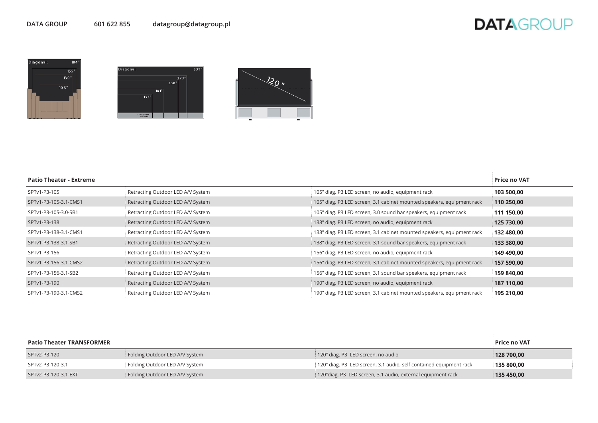## **DATAGROUP**







| <b>Patio Theater - Extreme</b> |                                   |                                                                        | <b>Price no VAT</b> |
|--------------------------------|-----------------------------------|------------------------------------------------------------------------|---------------------|
| SPTv1-P3-105                   | Retracting Outdoor LED A/V System | 105" diag. P3 LED screen, no audio, equipment rack                     | 103 500,00          |
| SPTv1-P3-105-3.1-CMS1          | Retracting Outdoor LED A/V System | 105" diag. P3 LED screen, 3.1 cabinet mounted speakers, equipment rack | 110 250,00          |
| SPTv1-P3-105-3.0-SB1           | Retracting Outdoor LED A/V System | 105" diag. P3 LED screen, 3.0 sound bar speakers, equipment rack       | 111 150,00          |
| SPTv1-P3-138                   | Retracting Outdoor LED A/V System | 138" diag. P3 LED screen, no audio, equipment rack                     | 125 730,00          |
| SPTv1-P3-138-3.1-CMS1          | Retracting Outdoor LED A/V System | 138" diag. P3 LED screen, 3.1 cabinet mounted speakers, equipment rack | 132 480,00          |
| SPTv1-P3-138-3.1-SB1           | Retracting Outdoor LED A/V System | 138" diag. P3 LED screen, 3.1 sound bar speakers, equipment rack       | 133 380,00          |
| SPTv1-P3-156                   | Retracting Outdoor LED A/V System | 156" diag. P3 LED screen, no audio, equipment rack                     | 149 490,00          |
| SPTv1-P3-156-3.1-CMS2          | Retracting Outdoor LED A/V System | 156" diag. P3 LED screen, 3.1 cabinet mounted speakers, equipment rack | 157 590,00          |
| SPTv1-P3-156-3.1-SB2           | Retracting Outdoor LED A/V System | 156" diag. P3 LED screen, 3.1 sound bar speakers, equipment rack       | 159 840,00          |
| SPTv1-P3-190                   | Retracting Outdoor LED A/V System | 190" diag. P3 LED screen, no audio, equipment rack                     | 187 110,00          |
| SPTv1-P3-190-3.1-CMS2          | Retracting Outdoor LED A/V System | 190" diag. P3 LED screen, 3.1 cabinet mounted speakers, equipment rack | 195 210,00          |

| <b>Patio Theater TRANSFORMER</b> |                                |                                                                    | Price no VAT |
|----------------------------------|--------------------------------|--------------------------------------------------------------------|--------------|
| SPTv2-P3-120                     | Folding Outdoor LED A/V System | 120" diag. P3 LED screen, no audio                                 | 128 700.00   |
| SPTv2-P3-120-3.1                 | Folding Outdoor LED A/V System | 120" diag. P3 LED screen, 3.1 audio, self contained equipment rack | 135 800.00   |
| SPTv2-P3-120-3.1-EXT             | Folding Outdoor LED A/V System | 120" diag. P3 LED screen, 3.1 audio, external equipment rack       | 135 450,00   |